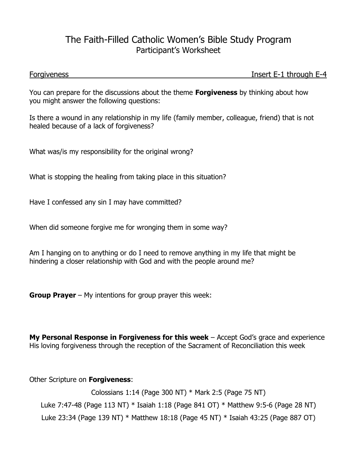## The Faith-Filled Catholic Women's Bible Study Program Participant's Worksheet

Forgiveness Insert E-1 through E-4

You can prepare for the discussions about the theme **Forgiveness** by thinking about how you might answer the following questions:

Is there a wound in any relationship in my life (family member, colleague, friend) that is not healed because of a lack of forgiveness?

What was/is my responsibility for the original wrong?

What is stopping the healing from taking place in this situation?

Have I confessed any sin I may have committed?

When did someone forgive me for wronging them in some way?

Am I hanging on to anything or do I need to remove anything in my life that might be hindering a closer relationship with God and with the people around me?

**Group Prayer** – My intentions for group prayer this week:

**My Personal Response in Forgiveness for this week** – Accept God's grace and experience His loving forgiveness through the reception of the Sacrament of Reconciliation this week

Other Scripture on **Forgiveness**:

Colossians 1:14 (Page 300 NT) \* Mark 2:5 (Page 75 NT) Luke 7:47-48 (Page 113 NT) \* Isaiah 1:18 (Page 841 OT) \* Matthew 9:5-6 (Page 28 NT) Luke 23:34 (Page 139 NT) \* Matthew 18:18 (Page 45 NT) \* Isaiah 43:25 (Page 887 OT)